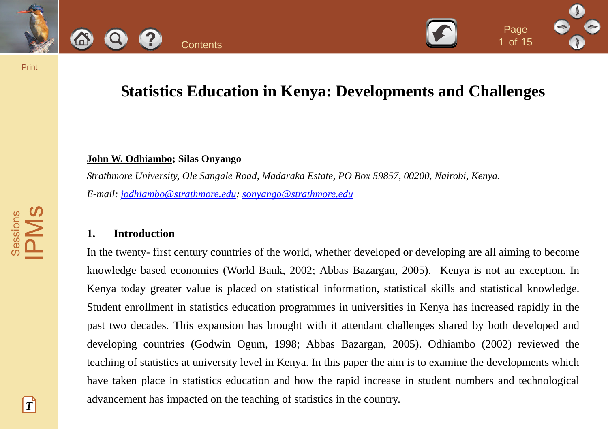



# **Statistics Education in Kenya: Developments and Challenges**

1 of <sup>15</sup>

### **John W. Odhiambo; Silas Onyango**

*Strathmore University, Ole Sangale Road, Madaraka Estate, PO Box 59857, 00200, Nairobi, Kenya. E-mail: [jodhiambo@strathmore.edu](mailto:jodhiambo@strathmore.edu); [sonyango@strathmore.edu](mailto:sonyango@strathmore.edu)*

### **1. Introduction**

In the twenty- first century countries of the world, whether developed or developing are all aiming to become knowledge based economies (World Bank, 2002; Abbas Bazargan, 2005). Kenya is not an exception. In Kenya today greater value is placed on statistical information, statistical skills and statistical knowledge. Student enrollment in statistics education programmes in universities in Kenya has increased rapidly in the past two decades. This expansion has brought with it attendant challenges shared by both developed and developing countries (Godwin Ogum, 1998; Abbas Bazargan, 2005). Odhiambo (2002) reviewed the teaching of statistics at university level in Kenya. In this paper the aim is to examine the developments which have taken place in statistics education and how the rapid increase in student numbers and technological advancement has impacted on the teaching of statistics in the country. Statistics Education in Kenya: Developments and Challeng<br>
Magnetics Education in Kenya: Developments and Challeng<br>
John W. Odhiambe Silas Onyange<br>
Strathistics Education in Kenya: Developments and Challeng<br>
Strathistics in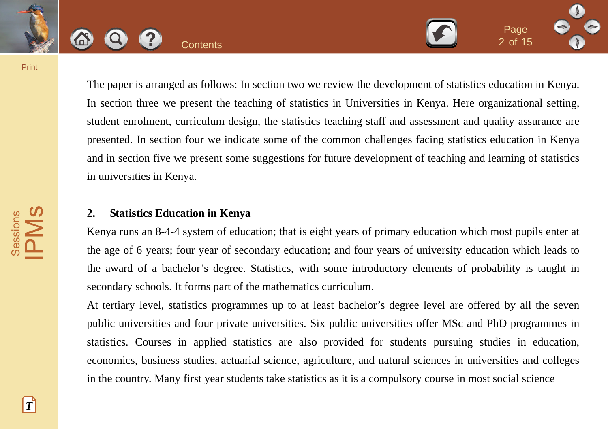

The paper is arranged as follows: In section two we review the development of statistics education in Kenya. In section three we present the teaching of statistics in Universities in Kenya. Here organizational setting, student enrolment, curriculum design, the statistics teaching staff and assessment and quality assurance are presented. In section four we indicate some of the common challenges facing statistics education in Kenya and in section five we present some suggestions for future development of teaching and learning of statistics in universities in Kenya. Contents 2014<br>
The paper is arranged as follows: In section two we review the development of statistics educatio<br>
In section three we present the teaching of statistics in Universities in Kenya. Here organization<br>
student

2 of <sup>15</sup>

# **2. Statistics Education in Kenya**

Kenya runs an 8-4-4 system of education; that is eight years of primary education which most pupils enter at the age of 6 years; four year of secondary education; and four years of university education which leads to the award of a bachelor's degree. Statistics, with some introductory elements of probability is taught in secondary schools. It forms part of the mathematics curriculum.

At tertiary level, statistics programmes up to at least bachelor's degree level are offered by all the seven public universities and four private universities. Six public universities offer MSc and PhD programmes in statistics. Courses in applied statistics are also provided for students pursuing studies in education, economics, business studies, actuarial science, agriculture, and natural sciences in universities and colleges in the country. Many first year students take statistics as it is a compulsory course in most social science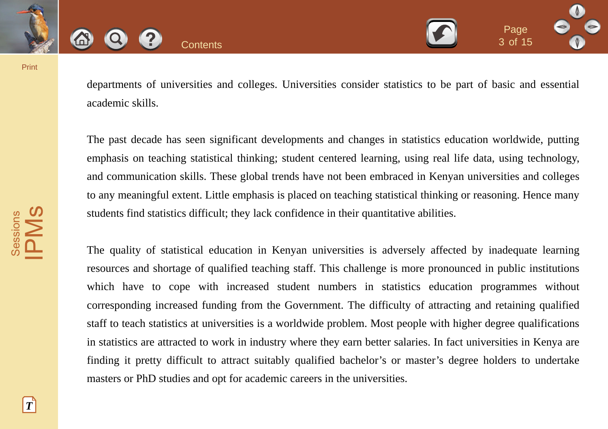



departments of universities and colleges. Universities consider statistics to be part of basic and essential academic skills.

The past decade has seen significant developments and changes in statistics education worldwide, putting emphasis on teaching statistical thinking; student centered learning, using real life data, using technology, and communication skills. These global trends have not been embraced in Kenyan universities and colleges to any meaningful extent. Little emphasis is placed on teaching statistical thinking or reasoning. Hence many students find statistics difficult; they lack confidence in their quantitative abilities.

The quality of statistical education in Kenyan universities is adversely affected by inadequate learning resources and shortage of qualified teaching staff. This challenge is more pronounced in public institutions which have to cope with increased student numbers in statistics education programmes without corresponding increased funding from the Government. The difficulty of attracting and retaining qualified staff to teach statistics at universities is a worldwide problem. Most people with higher degree qualifications in statistics are attracted to work in industry where they earn better salaries. In fact universities in Kenya are finding it pretty difficult to attract suitably qualified bachelor's or master's degree holders to undertake masters or PhD studies and opt for academic careers in the universities. Contents<br>
Contents<br>
departments of universities and colleges. Universities consider statistics to be part of basic and<br>
academic skills.<br>
The past decade has seen significant developments and changes in statistics educatio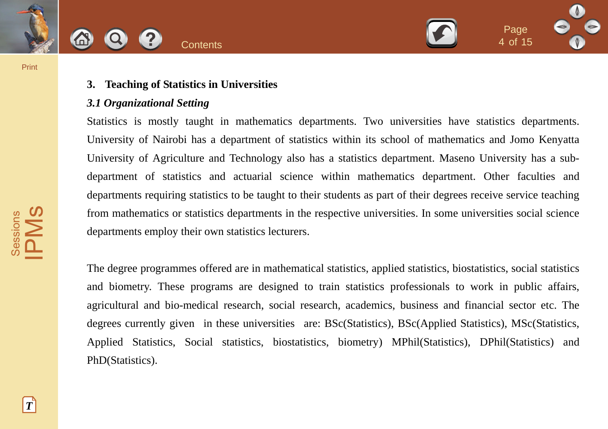



# **3. Teaching of Statistics in Universities**

### *3.1 Organizational Setting*

Statistics is mostly taught in mathematics departments. Two universities have statistics departments. University of Nairobi has a department of statistics within its school of mathematics and Jomo Kenyatta University of Agriculture and Technology also has a statistics department. Maseno University has a subdepartment of statistics and actuarial science within mathematics department. Other faculties and departments requiring statistics to be taught to their students as part of their degrees receive service teaching from mathematics or statistics departments in the respective universities. In some universities social science departments employ their own statistics lecturers. **Contents**<br>
3. **Teaching of Statistics in Universities**<br>
3. **Organizational Setting**<br>
Statistics is mostly taught in mathematics departments. Two universities have statistics d<br>
University of Narobi has a department of sta

The degree programmes offered are in mathematical statistics, applied statistics, biostatistics, social statistics and biometry. These programs are designed to train statistics professionals to work in public affairs, agricultural and bio-medical research, social research, academics, business and financial sector etc. The degrees currently given in these universities are: BSc(Statistics), BSc(Applied Statistics), MSc(Statistics, Applied Statistics, Social statistics, biostatistics, biometry) MPhil(Statistics), DPhil(Statistics) and PhD(Statistics).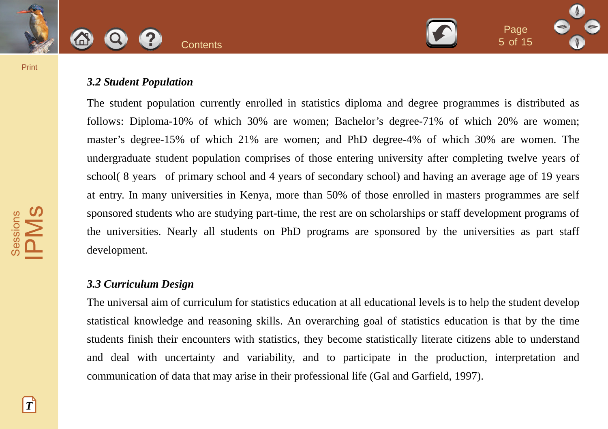

# *3.2 Student Population*

The student population currently enrolled in statistics diploma and degree programmes is distributed as follows: Diploma-10% of which 30% are women; Bachelor's degree-71% of which 20% are women; master's degree-15% of which 21% are women; and PhD degree-4% of which 30% are women. The undergraduate student population comprises of those entering university after completing twelve years of school( 8 years of primary school and 4 years of secondary school) and having an average age of 19 years at entry. In many universities in Kenya, more than 50% of those enrolled in masters programmes are self sponsored students who are studying part-time, the rest are on scholarships or staff development programs of the universities. Nearly all students on PhD programs are sponsored by the universities as part staff development. **Contents**<br>
3.2 Student Population<br>
The student population<br>
The student population<br>
The student population currently enrolled in statistics diploma and degree por grammes is distinguistic.<br>
The student-10% of which 30% are

### *3.3 Curriculum Design*

The universal aim of curriculum for statistics education at all educational levels is to help the student develop statistical knowledge and reasoning skills. An overarching goal of statistics education is that by the time students finish their encounters with statistics, they become statistically literate citizens able to understand and deal with uncertainty and variability, and to participate in the production, interpretation and communication of data that may arise in their professional life (Gal and Garfield, 1997).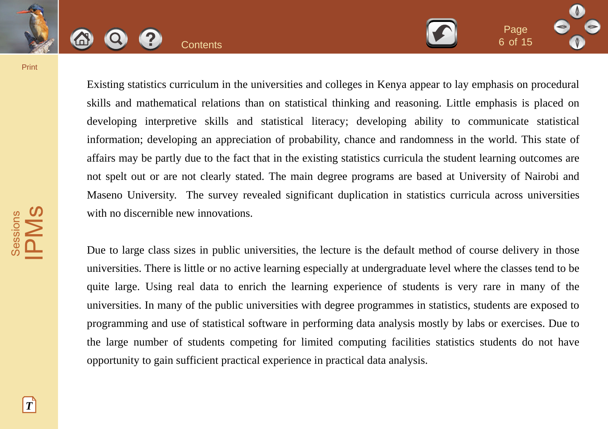

Existing statistics curriculum in the universities and colleges in Kenya appear to lay emphasis on procedural skills and mathematical relations than on statistical thinking and reasoning. Little emphasis is placed on developing interpretive skills and statistical literacy; developing ability to communicate statistical information; developing an appreciation of probability, chance and randomness in the world. This state of affairs may be partly due to the fact that in the existing statistics curricula the student learning outcomes are not spelt out or are not clearly stated. The main degree programs are based at University of Nairobi and Maseno University. The survey revealed significant duplication in statistics curricula across universities with no discernible new innovations. Contents Bracklass corrections and colleges in Kenya appear to lay emphasis on<br>
Fixisting statistics curriculum in the universities and colleges in Kenya appear to lay emphasis in<br>
Sixilis and mathematical relations than o

6 of <sup>15</sup>

Due to large class sizes in public universities, the lecture is the default method of course delivery in those universities. There is little or no active learning especially at undergraduate level where the classes tend to be quite large. Using real data to enrich the learning experience of students is very rare in many of the universities. In many of the public universities with degree programmes in statistics, students are exposed to programming and use of statistical software in performing data analysis mostly by labs or exercises. Due to the large number of students competing for limited computing facilities statistics students do not have opportunity to gain sufficient practical experience in practical data analysis.

 $|T|$ 

Sessions Sessions<br>PMS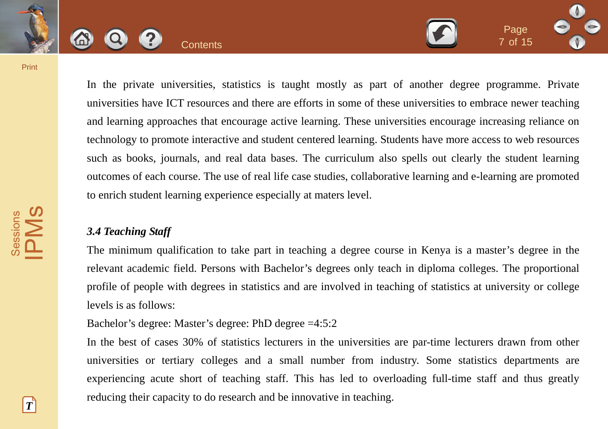



In the private universities, statistics is taught mostly as part of another degree programme. Private universities have ICT resources and there are efforts in some of these universities to embrace newer teaching and learning approaches that encourage active learning. These universities encourage increasing reliance on technology to promote interactive and student centered learning. Students have more access to web resources such as books, journals, and real data bases. The curriculum also spells out clearly the student learning outcomes of each course. The use of real life case studies, collaborative learning and e-learning are promoted to enrich student learning experience especially at maters level. Contents The private universities, statistics is taught mostly as part of another degree programm<br>
The private universities, statistics is taught mostly as part of another degree programm<br>
universities have ICT resources a

7 of <sup>15</sup>

# *3.4 Teaching Staff*

The minimum qualification to take part in teaching a degree course in Kenya is a master's degree in the relevant academic field. Persons with Bachelor's degrees only teach in diploma colleges. The proportional profile of people with degrees in statistics and are involved in teaching of statistics at university or college levels is as follows:

Bachelor's degree: Master's degree: PhD degree =4:5:2

In the best of cases 30% of statistics lecturers in the universities are par-time lecturers drawn from other universities or tertiary colleges and a small number from industry. Some statistics departments are experiencing acute short of teaching staff. This has led to overloading full-time staff and thus greatly reducing their capacity to do research and be innovative in teaching.

Sessions **PMS**<br>PMS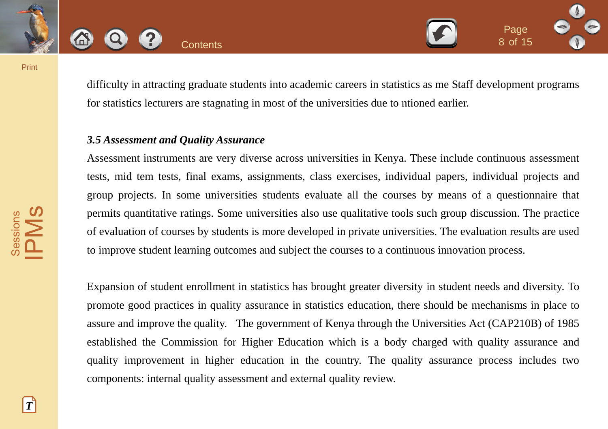



difficulty in attracting graduate students into academic careers in statistics as me Staff development programs for statistics lecturers are stagnating in most of the universities due to ntioned earlier.

# *3.5 Assessment and Quality Assurance*

Assessment instruments are very diverse across universities in Kenya. These include continuous assessment tests, mid tem tests, final exams, assignments, class exercises, individual papers, individual projects and group projects. In some universities students evaluate all the courses by means of a questionnaire that permits quantitative ratings. Some universities also use qualitative tools such group discussion. The practice of evaluation of courses by students is more developed in private universities. The evaluation results are used to improve student learning outcomes and subject the courses to a continuous innovation process.

Expansion of student enrollment in statistics has brought greater diversity in student needs and diversity. To promote good practices in quality assurance in statistics education, there should be mechanisms in place to assure and improve the quality. The government of Kenya through the Universities Act (CAP210B) of 1985 established the Commission for Higher Education which is a body charged with quality assurance and quality improvement in higher education in the country. The quality assurance process includes two components: internal quality assessment and external quality review. Contents and statistics and statistics and statistics as the Contents and statistics as the Statistics lecturers are stagnating in most of the universities due to ntioned earlier.<br>
3.5 Assessment and Quality Assurance<br>
Ass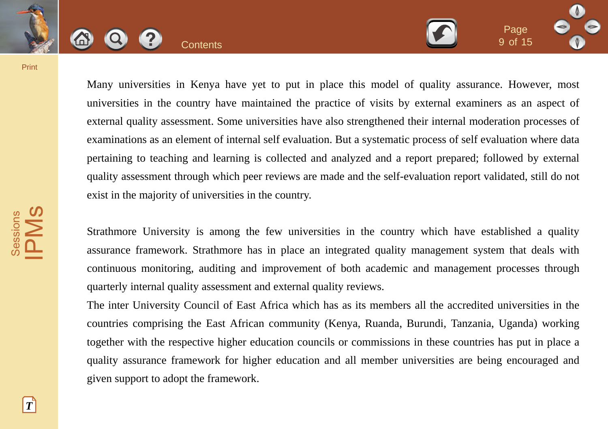

Many universities in Kenya have yet to put in place this model of quality assurance. However, most universities in the country have maintained the practice of visits by external examiners as an aspect of external quality assessment. Some universities have also strengthened their internal moderation processes of examinations as an element of internal self evaluation. But a systematic process of self evaluation where data pertaining to teaching and learning is collected and analyzed and a report prepared; followed by external quality assessment through which peer reviews are made and the self-evaluation report validated, still do not exist in the majority of universities in the country. Contents Beautiful Contents and the principle in the contents of the statement and the principle and the principle and the principle and the principle and external quality assument. Some universities have also strengthened

9 of <sup>15</sup>

Strathmore University is among the few universities in the country which have established a quality assurance framework. Strathmore has in place an integrated quality management system that deals with continuous monitoring, auditing and improvement of both academic and management processes through quarterly internal quality assessment and external quality reviews.

The inter University Council of East Africa which has as its members all the accredited universities in the countries comprising the East African community (Kenya, Ruanda, Burundi, Tanzania, Uganda) working together with the respective higher education councils or commissions in these countries has put in place a quality assurance framework for higher education and all member universities are being encouraged and given support to adopt the framework.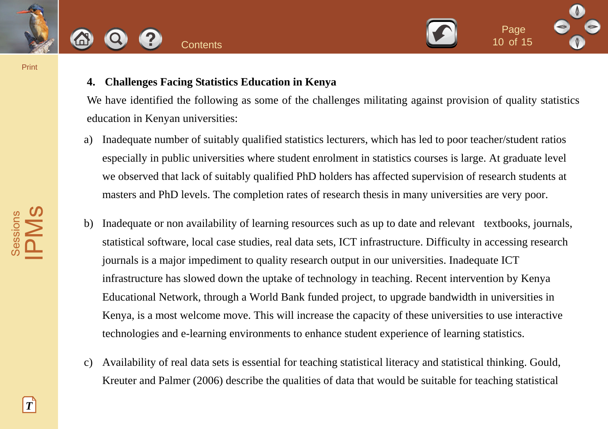



# **4. Challenges Facing Statistics Education in Kenya**

We have identified the following as some of the challenges militating against provision of quality statistics education in Kenyan universities:

- a) Inadequate number of suitably qualified statistics lecturers, which has led to poor teacher/student ratios especially in public universities where student enrolment in statistics courses is large. At graduate level we observed that lack of suitably qualified PhD holders has affected supervision of research students at masters and PhD levels. The completion rates of research thesis in many universities are very poor.
- b) Inadequate or non availability of learning resources such as up to date and relevant textbooks, journals, statistical software, local case studies, real data sets, ICT infrastructure. Difficulty in accessing research journals is a major impediment to quality research output in our universities. Inadequate ICT infrastructure has slowed down the uptake of technology in teaching. Recent intervention by Kenya Educational Network, through a World Bank funded project, to upgrade bandwidth in universities in Kenya, is a most welcome move. This will increase the capacity of these universities to use interactive technologies and e-learning environments to enhance student experience of learning statistics. **Contents**<br> **Examplementary Contents**<br> **Examplementary Contents**<br> **Examplementary Statistics Education in Kenya**<br>
We have identified the following as some of the challenges militating against provision of qualit<br>
education
	- c) Availability of real data sets is essential for teaching statistical literacy and statistical thinking. Gould, Kreuter and Palmer (2006) describe the qualities of data that would be suitable for teaching statistical

*T*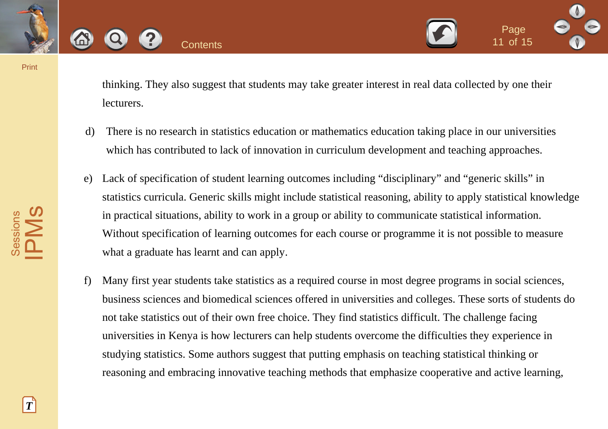



thinking. They also suggest that students may take greater interest in real data collected by one their lecturers.

- d) There is no research in statistics education or mathematics education taking place in our universities which has contributed to lack of innovation in curriculum development and teaching approaches.
- e) Lack of specification of student learning outcomes including "disciplinary" and "generic skills" in statistics curricula. Generic skills might include statistical reasoning, ability to apply statistical knowledge in practical situations, ability to work in a group or ability to communicate statistical information. Without specification of learning outcomes for each course or programme it is not possible to measure what a graduate has learnt and can apply.
- f) Many first year students take statistics as a required course in most degree programs in social sciences, business sciences and biomedical sciences offered in universities and colleges. These sorts of students do not take statistics out of their own free choice. They find statistics difficult. The challenge facing universities in Kenya is how lecturers can help students overcome the difficulties they experience in studying statistics. Some authors suggest that putting emphasis on teaching statistical thinking or reasoning and embracing innovative teaching methods that emphasize cooperative and active learning, Contents and substitute may be a greater interest in real data collected by one<br>thinking. They also suggest that students may take greater interest in real data collected by one<br>lecturers.<br>d) There is no research in statis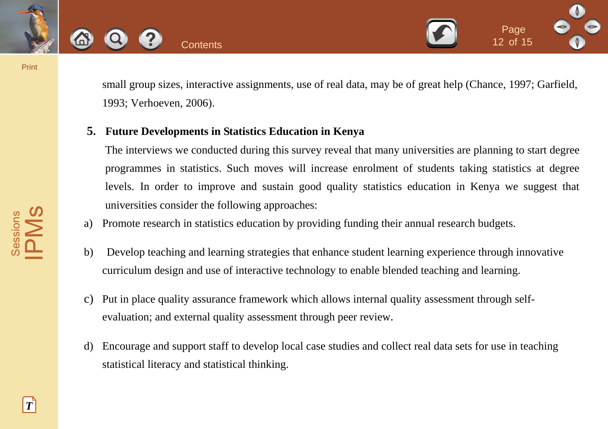



small group sizes, interactive assignments, use of real data, may be of great help (Chance, 1997; Garfield, 1993; Verhoeven, 2006).

# **5. Future Developments in Statistics Education in Kenya**

The interviews we conducted during this survey reveal that many universities are planning to start degree programmes in statistics. Such moves will increase enrolment of students taking statistics at degree levels. In order to improve and sustain good quality statistics education in Kenya we suggest that universities consider the following approaches: Contents<br>
Small group sizes, interactive assignments, use of real data, may be of great help (Chance, 1997<br>
1993; Verhoeven, 2006).<br>
5. Future Developments in Statistics Education in Kenya<br>
The interviews we conducted duri

- a) Promote research in statistics education by providing funding their annual research budgets.
- b) Develop teaching and learning strategies that enhance student learning experience through innovative curriculum design and use of interactive technology to enable blended teaching and learning.
- c) Put in place quality assurance framework which allows internal quality assessment through selfevaluation; and external quality assessment through peer review.
- d) Encourage and support staff to develop local case studies and collect real data sets for use in teaching statistical literacy and statistical thinking.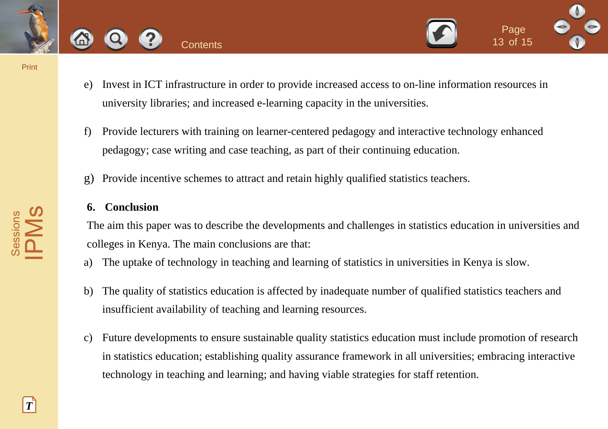





- e) Invest in ICT infrastructure in order to provide increased access to on-line information resources in university libraries; and increased e-learning capacity in the universities.
- f) Provide lecturers with training on learner-centered pedagogy and interactive technology enhanced pedagogy; case writing and case teaching, as part of their continuing education.
- g) Provide incentive schemes to attract and retain highly qualified statistics teachers.

### **6. Conclusion**

The aim this paper was to describe the developments and challenges in statistics education in universities and colleges in Kenya. The main conclusions are that:

- a) The uptake of technology in teaching and learning of statistics in universities in Kenya is slow.
- b) The quality of statistics education is affected by inadequate number of qualified statistics teachers and insufficient availability of teaching and learning resources.
- c) Future developments to ensure sustainable quality statistics education must include promotion of research in statistics education; establishing quality assurance framework in all universities; embracing interactive technology in teaching and learning; and having viable strategies for staff retention. Contents<br>
2 Contents<br>
2 Contents<br>
2 Contents<br>
2 Contents<br>
2 Contents<br>
2 Contents<br>
2 Contents<br>
2 Contents<br>
2 Contents<br>
2 Contents<br>
2 Contents<br>
2 Contents with training on learner-centered pedagogy and interactive technology

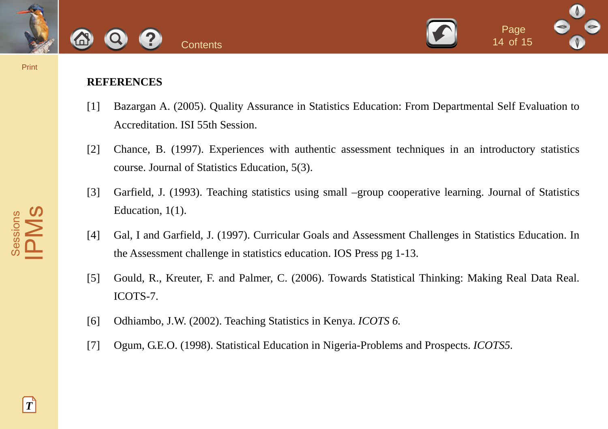



# **REFERENCES**

- [1] Bazargan A. (2005). Quality Assurance in Statistics Education: From Departmental Self Evaluation to Accreditation. ISI 55th Session.
- [2] Chance, B. (1997). Experiences with authentic assessment techniques in an introductory statistics course. Journal of Statistics Education, 5(3).
- [3] Garfield, J. (1993). Teaching statistics using small –group cooperative learning. Journal of Statistics Education, 1(1).
- [4] Gal, I and Garfield, J. (1997). Curricular Goals and Assessment Challenges in Statistics Education. In the Assessment challenge in statistics education. IOS Press pg 1-13. **CONTRENCES**<br>
REFERENCES<br>
III Bazargan A. (2005). Quality Assurance in Statistics Education: From Departmental Self Ev<br>
Accreditation. ISI 55th Session.<br>
12 Change, B. (1997). Experiences with authentic assessment techniqu
	- [5] Gould, R., Kreuter, F. and Palmer, C. (2006). Towards Statistical Thinking: Making Real Data Real. ICOTS-7.
	- [6] Odhiambo, J.W. (2002). Teaching Statistics in Kenya. *ICOTS 6.*
	- [7] Ogum, G.E.O. (1998). Statistical Education in Nigeria-Problems and Prospects. *ICOTS5.*